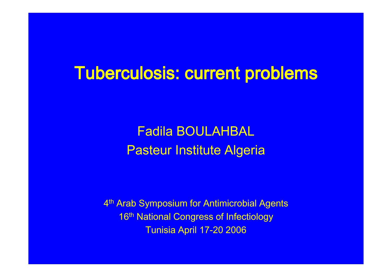## Tuberculosis: current problems

Fadila BOULAHBALPasteur Institute Algeria

4<sup>th</sup> Arab Symposium for Antimicrobial Agents 16th National Congress of InfectiologyTunisia April 17-20 2006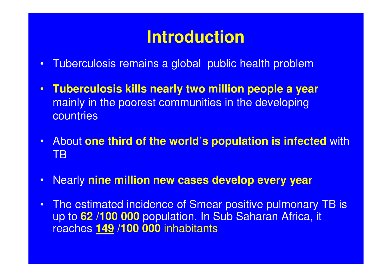## **Introduction**

- •Tuberculosis remains a global public health problem
- $\bullet$  **Tuberculosis kills nearly two million people a year**mainly in the poorest communities in the developing **countries**
- • About **one third of the world's population is infected** with TB
- •Nearly **nine million new cases develop every year**
- • The estimated incidence of Smear positive pulmonary TB is up to **62 /100 000** population. In Sub Saharan Africa, it reaches **149 /100 000** inhabitants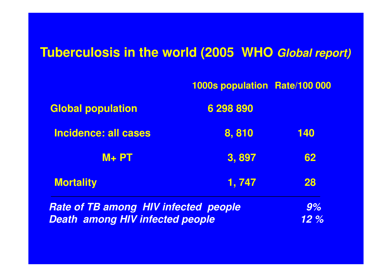### **Tuberculosis in the world (2005 WHO Global report)**

|                                             | 1000s population Rate/100 000 |           |  |
|---------------------------------------------|-------------------------------|-----------|--|
| <b>Global population</b>                    | 6 298 890                     |           |  |
| <b>Incidence: all cases</b>                 | 8,810                         | 140       |  |
| $M + PT$                                    | 3,897                         | 62        |  |
| <b>Mortality</b>                            | 1, 747                        | <b>28</b> |  |
| <b>Rate of TB among HIV infected people</b> | 9%                            |           |  |
| <b>Death among HIV infected people</b>      | 12%                           |           |  |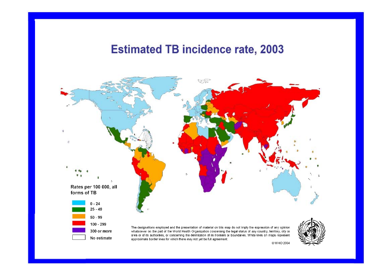### **Estimated TB incidence rate, 2003**



@WHO 2004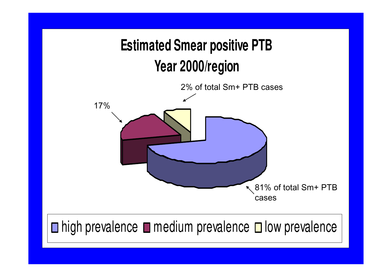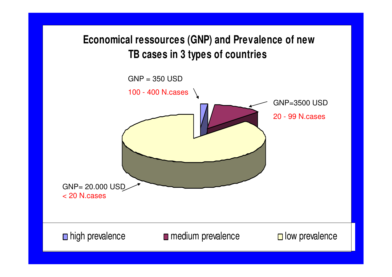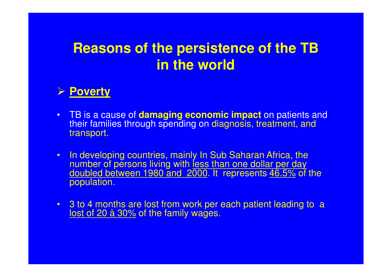## **Reasons of the persistence of the TB in the world**

## **Poverty**

- $\bullet$  TB is a cause of **damaging economic impact** on patients and their families through spending on diagnosis, treatment, and transport.
- $\bullet$  In developing countries, mainly In Sub Saharan Africa, the number of persons living with less than one dollar per day doubled between 1980 and 2000. It represents <u>46.5%</u> of the <br>population. population.
- 3 to 4 months are lost from work per each patient leading to a<br>lost of 20 à 30% of the family wages. lost of 20 à 30% of the family wages.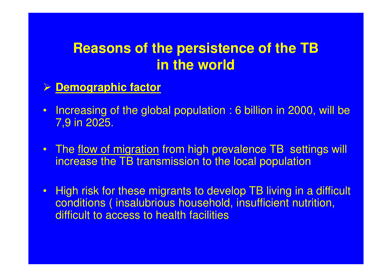## **Reasons of the persistence of the TB in the world**

## **Demographic factor**

- • Increasing of the global population : 6 billion in 2000, will be 7,9 in 2025.
- •The flow of migration from high prevalence TB settings will increase the TB transmission to the local population
- $\bullet$  High risk for these migrants to develop TB living in a difficult conditions ( insalubrious household, insufficient nutrition, difficult to access to health facilities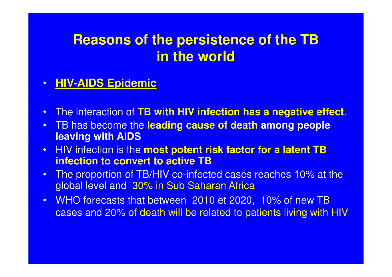## **Reasons of the persistence of the TB in the world**

#### $\bullet$ **HIV-AIDS Epidemic**

- •The interaction of **TB with HIV infection has a negative effect**.
- • TB has become the **leading cause of death among people leaving with AIDS**
- HIV infection is the **most potent risk factor for a latent TB**  •**infection to convert to active TB**
- The proportion of TB/HIV co-infected cases reaches 10% at the •global level and 30% in Sub Saharan Africa
- • WHO forecasts that between 2010 et 2020, 10% of new TB cases and 20% of death will be related to patients living with HIV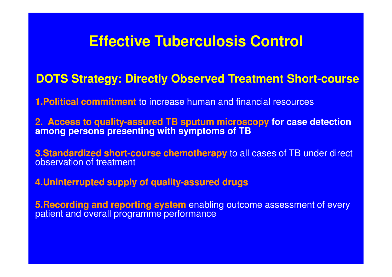## **Effective Tuberculosis Control**

## **DOTS Strategy: Directly Observed Treatment Short-course**

**1.Political commitment Political** to increase human and financial resources

**2. Access to quality quality-assured TB sputum microscopy assured for case detection among persons presenting with symptoms of TB**

**3.Standardized short-course chemotherapy** to all cases of TB under direct<br>cheemstice of treatment observation of treatment

**4.Uninterrupted supply of quality Uninterrupted quality-assured drugs assured** 

**5.Recording and reporting system** enabling outcome assessment of every<br>patient and overall programme performance patient and overall programme performance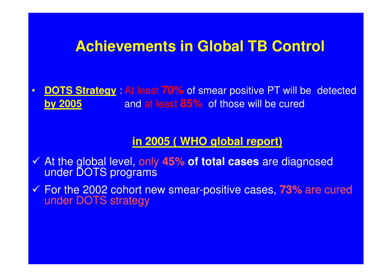### **Achievements in Global TB Control**

 $\bullet$ **DOTS Strategy** : At least 70% of smear positive PT will be detected<br>**by 2005** and at least 85%, of these will be eured **by 2005**and at least **85%** of those will be cured

#### **in 2005 ( WHO global report)**

- At the global level, only **45% of total cases** are diagnosed under DOTS programs
- <del>√</del> For the 2002 cohort new smear-positive cases, 73% are cured<br>Funder DOTS strategy under DOTS strategy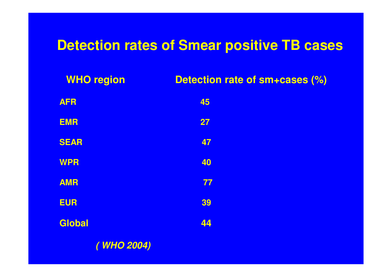## **Detection rates of Smear positive TB cases**

| <b>WHO region</b> | Detection rate of sm+cases (%) |
|-------------------|--------------------------------|
| <b>AFR</b>        | 45                             |
| <b>EMR</b>        | 27                             |
| <b>SEAR</b>       | 47                             |
| <b>WPR</b>        | 40                             |
| <b>AMR</b>        | 77                             |
| <b>EUR</b>        | 39                             |
| Global            | 44                             |
| (WHO 2004)        |                                |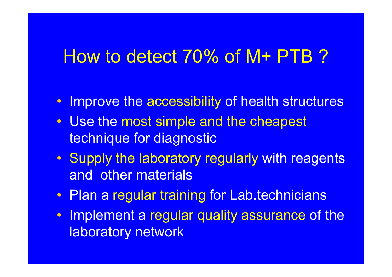## How to detect 70% of M+ PTB ?

- Improve the accessibility of health structures
- Use the most simple and the cheapest technique for diagnostic
- Supply the laboratory regularly with reagents and other materials
- Plan a regular training for Lab.technicians
- Implement a regular quality assurance of the laboratory network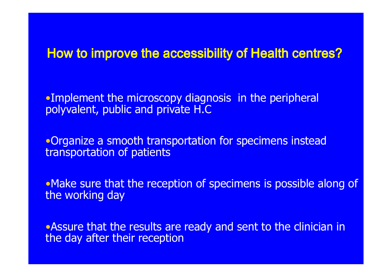### How to improve the accessibility of Health centres?

•Implement the microscopy diagnosis in the peripheral polyvalent, public and private H.C

•Organize a smooth transportation for specimens instead transportation of patients

•Make sure that the reception of specimens is possible along of the working day

•Assure that the results are ready and sent to the clinician in the day after their reception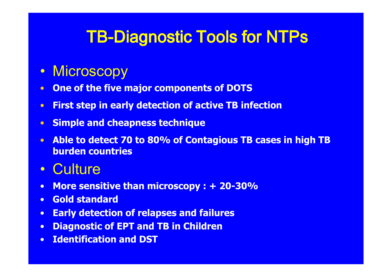# TB-Diagnostic Tools for NTPs

#### $\bullet$ **Microscopy**

- **One of the five major components of DOTS** •
- •First step in early detection of active TB infection
- •Simple and cheapness technique
- • Able to detect 70 to 80% of Contagious TB cases in high TB burden countries
- •**Culture**
- More sensitive than microscopy : + 20-30% $\bullet$
- •Gold standard
- Early detection of relapses and failures•
- •Diagnostic of EPT and TB in Children
- •Identification and DST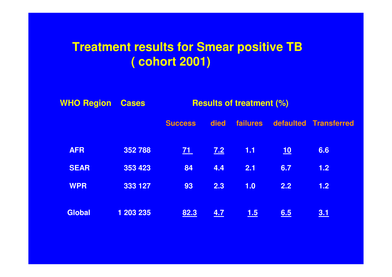### **Treatment results for Smear positive TB ( cohort 2001)**

| <b>WHO Region</b> | <b>Cases</b> | <b>Results of treatment (%)</b> |            |                 |            |                       |
|-------------------|--------------|---------------------------------|------------|-----------------|------------|-----------------------|
|                   |              | <b>Success</b>                  | died       | <b>failures</b> |            | defaulted Transferred |
| <b>AFR</b>        | 352788       | Z1                              | <u>7.2</u> | 1.1             | <u> 10</u> | 6.6                   |
| <b>SEAR</b>       | 353 423      | 84                              | 4.4        | 2.1             | 6.7        | 1.2                   |
| <b>WPR</b>        | 333 127      | 93                              | 2.3        | 1.0             | 2.2        | 1.2                   |
| <b>Global</b>     | 1 203 235    | 82.3                            | 4.7        | <u>1.5</u>      | 6.5        | <u>3.1</u>            |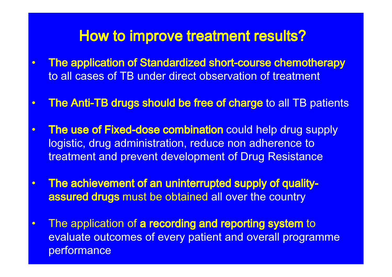### How to improve treatment results?

- • $\bullet$  The application of Standardized short-course chemotherapy to all cases of TB under direct observation of treatment
- •• The Anti-TB drugs should be free of charge to all TB patients
- •• The use of Fixed-dose combination could help drug supply logistic, drug administration, reduce non adherence to treatment and prevent development of Drug Resistance
- • The achievement of an uninterrupted supply of qualityassured drugs must be obtained all over the country
- $\bullet$ The application of a recording and reporting system to<br>avoluate outcomes of overy patient and overall pregram evaluate outcomes of every patient and overall programme performance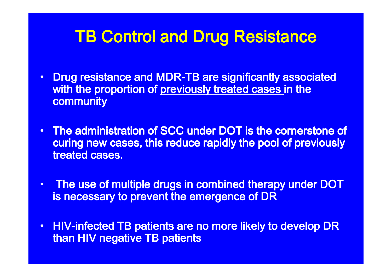## TB Control and Drug Resistance

- •Drug resistance and MDR-TB are significantly associated with the proportion of previously treated cases in the community
- $\bullet$ The administration of SCC under DOT is the cornerstone of curing new cases, this reduce rapidly the pool of previously treated cases.
- $\bullet$  The use of multiple drugs in combined therapy under DOT is necessary to prevent the emergence of DR
- $\bullet$ • HIV-infected TB patients are no more likely to develop DR than HIV negative TB patients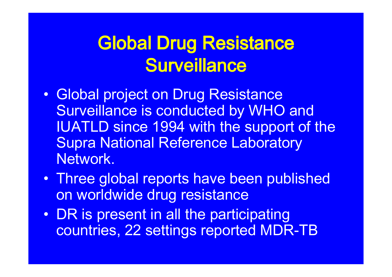## **Global Drug Resistance Surveillance**

- $\bullet$  Global project on Drug Resistance Surveillance is conducted by WHO and IUATLD since 1994 with the support of the Supra National Reference Laboratory Network.
- Three global reports have been published on worldwide drug resistance
- DR is present in all the participating countries, 22 settings reported MDR-TB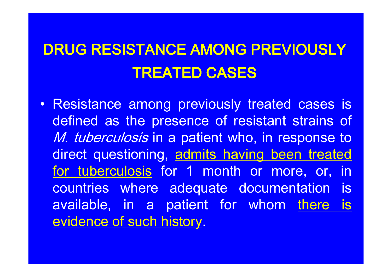## DRUG RESISTANCE AMONG PREVIOUSLY TREATED CASES

• Resistance among previously treated cases is defined as the presence of resistant strains of*M. tuberculosis* in a patient who, in response to direct questioning, admits having been treated for tuberculosis for <sup>1</sup> month or more, or, in countries where adequate documentation isavailable, in a patient for whom <u>there is</u><br>evidence.of.cush.histery evidence of such history.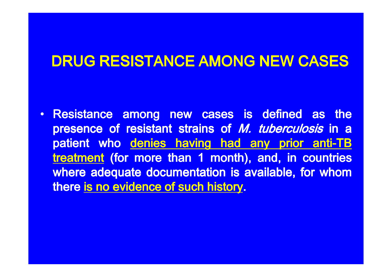## DRUG RESISTANCE AMONG NEW CASES

•• Resistance among new cases is defined as the presence of resistant strains of *M. tuberculosis* in a patient who denies having had any prior anti-TB ${\sf treatment}$  (for more than 1 month), and, in countries where adequate documentation is available, for whom there <u>is no evidence of such history</u>.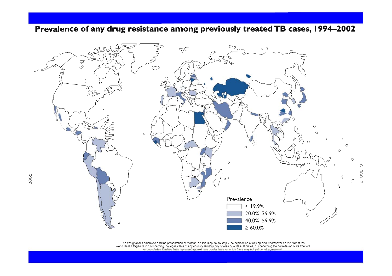#### Prevalence of any drug resistance among previously treated TB cases, 1994-2002



The designations employed and the presentation of material on this map do not imply the expression of any opinion whatsoever on the part of the<br>World Health Organization concerning the legal status of any country, territor

0000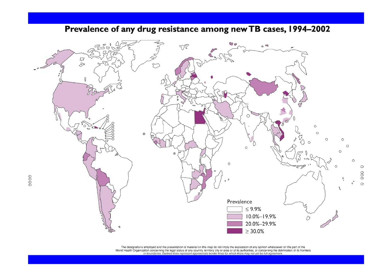

#### Prevalence of any drug resistance among new TB cases, 1994-2002

The designations employed and the presentation of material on this map do not imply the expression of any opinion whatsoever on the part of the World Health Organization concerning the legal status of any country territory, city or area or of its authorities, or concerning the delimitation of its frontiers or boundaries. Dashed lines represent approximate border l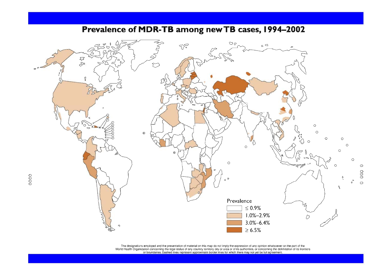

#### Prevalence of MDR-TB among new TB cases, 1994-2002

The designations employed and the presentation of material on this map do not imply the expression of any opinion whatsoever on the part of the<br>World Health Organization concerning the legal status of any country, territor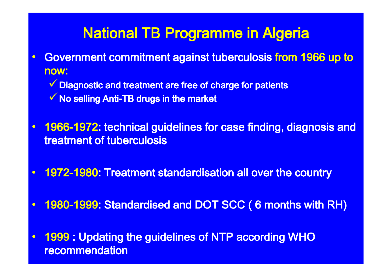## National TB Programme in Algeria

- • Government commitment against tuberculosis from 1966 up to now:
	- √ Diagnostic and treatment are free of charge for patients
	- $\checkmark$  No selling Anti-TB drugs in the market
- • 1966-1972: technical guidelines for case finding, diagnosis and treatment of tuberculosis
- •1972-1980: Treatment standardisation all over the country
- •1980-1999: Standardised and DOT SCC ( 6 months with RH)
- • <sup>1999</sup> : Updating the guidelines of NTP according WHO recommendation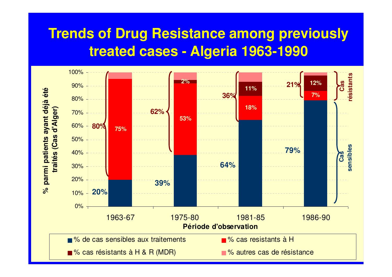## **Trends of Drug Resistance among previouslytreated cases - Algeria 1963-1990**

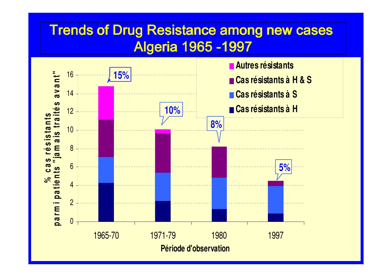## Trends of Drug Resistance among new cases <u> Algeria 1965 -1997</u>

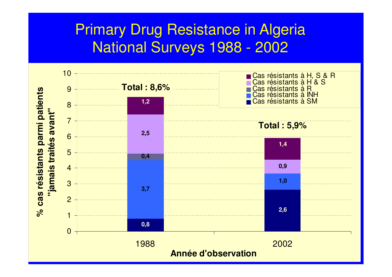## Primary Drug Resistance in AlgeriaNational Surveys 1988 - 2002

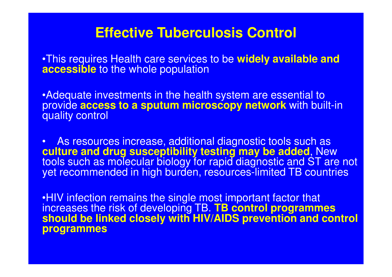### **Effective Tuberculosis Control**

•This requires Health care services to be **widely available and accessible** to the whole population

•Adequate investments in the health system are essential to provide **access to a sputum microscopy network** with built-in quality control

• As resources increase, additional diagnostic tools such as **culture and drug susceptibility testing may be added**, New tools such as molecular biology for rapid diagnostic and ST are not yet recommended in high burden, resources-limited TB countries

•HIV infection remains the single most important factor that increases the risk of developing TB. **TB control programmes should be linked closely with HIV/AIDS prevention and control programmes**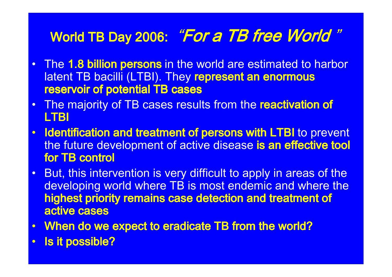# World TB Day 2006: *"For a TB free World "*

- •The 1.8 billion persons in the world are estimated to harbor latent TB bacilli (LTBI). They represent an enormous reservoir of potential TB cases
- The majority of TB cases results from the reactivation of •LTBI
- •Identification and treatment of persons with LTBI to prevent the future development of active disease is an effective tool for TB control
- • But, this intervention is very difficult to apply in areas of the developing world where TB is most endemic and where thehighest priority remains case detection and treatment of active cases
- $\bullet$ When do we expect to eradicate TB from the world?
- •Is it possible?